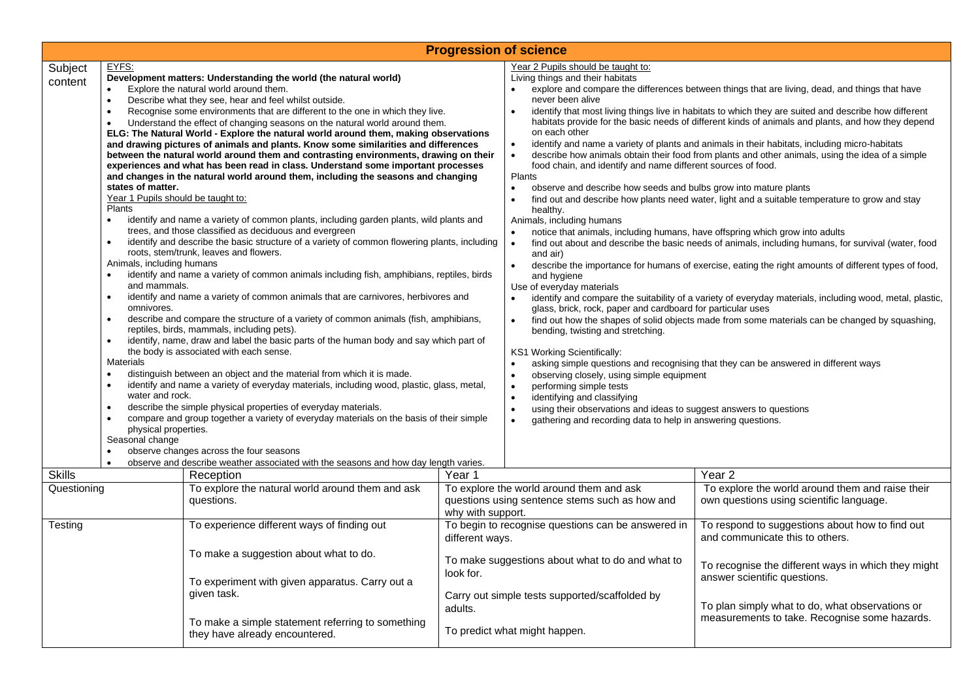| <b>Progression of science</b> |                                                                                                                                                                                                                                                                                                                                                                                                                                                                                                                                                                                                                                                                                                                                                                                                                                                                                                                                                                                                                                                                                                                                                                                                                                                                                                                                                                                                                                                                                                                                                                                                                                                                                                                                                                                                                                                                                                                                                                                                                                                                                                                                                                                                                                                                 |                                                                                                                                |                                                                                                                                                             |                                                                                                                                                                                                                                                                                                                                                                                                                                                                                                                                                                                                                                                                                                                                                                                                                                                                                                                                                                                                                                                                                                                                                                                                                                                                                                                                                                                                                                                                                                                                                                                                                                                                                                                                                                                                                                                                                                                                                                                                                                                                                                                                                                           |                                                                                                                   |  |  |
|-------------------------------|-----------------------------------------------------------------------------------------------------------------------------------------------------------------------------------------------------------------------------------------------------------------------------------------------------------------------------------------------------------------------------------------------------------------------------------------------------------------------------------------------------------------------------------------------------------------------------------------------------------------------------------------------------------------------------------------------------------------------------------------------------------------------------------------------------------------------------------------------------------------------------------------------------------------------------------------------------------------------------------------------------------------------------------------------------------------------------------------------------------------------------------------------------------------------------------------------------------------------------------------------------------------------------------------------------------------------------------------------------------------------------------------------------------------------------------------------------------------------------------------------------------------------------------------------------------------------------------------------------------------------------------------------------------------------------------------------------------------------------------------------------------------------------------------------------------------------------------------------------------------------------------------------------------------------------------------------------------------------------------------------------------------------------------------------------------------------------------------------------------------------------------------------------------------------------------------------------------------------------------------------------------------|--------------------------------------------------------------------------------------------------------------------------------|-------------------------------------------------------------------------------------------------------------------------------------------------------------|---------------------------------------------------------------------------------------------------------------------------------------------------------------------------------------------------------------------------------------------------------------------------------------------------------------------------------------------------------------------------------------------------------------------------------------------------------------------------------------------------------------------------------------------------------------------------------------------------------------------------------------------------------------------------------------------------------------------------------------------------------------------------------------------------------------------------------------------------------------------------------------------------------------------------------------------------------------------------------------------------------------------------------------------------------------------------------------------------------------------------------------------------------------------------------------------------------------------------------------------------------------------------------------------------------------------------------------------------------------------------------------------------------------------------------------------------------------------------------------------------------------------------------------------------------------------------------------------------------------------------------------------------------------------------------------------------------------------------------------------------------------------------------------------------------------------------------------------------------------------------------------------------------------------------------------------------------------------------------------------------------------------------------------------------------------------------------------------------------------------------------------------------------------------------|-------------------------------------------------------------------------------------------------------------------|--|--|
| Subject<br>content            | EYFS:<br>Development matters: Understanding the world (the natural world)<br>Explore the natural world around them.<br>$\bullet$<br>Describe what they see, hear and feel whilst outside.<br>$\bullet$<br>Recognise some environments that are different to the one in which they live.<br>$\bullet$<br>Understand the effect of changing seasons on the natural world around them.<br>$\bullet$<br>ELG: The Natural World - Explore the natural world around them, making observations<br>and drawing pictures of animals and plants. Know some similarities and differences<br>between the natural world around them and contrasting environments, drawing on their<br>experiences and what has been read in class. Understand some important processes<br>and changes in the natural world around them, including the seasons and changing<br>states of matter.<br>Year 1 Pupils should be taught to:<br>Plants<br>identify and name a variety of common plants, including garden plants, wild plants and<br>$\bullet$<br>trees, and those classified as deciduous and evergreen<br>identify and describe the basic structure of a variety of common flowering plants, including<br>$\bullet$<br>roots, stem/trunk, leaves and flowers.<br>Animals, including humans<br>identify and name a variety of common animals including fish, amphibians, reptiles, birds<br>$\bullet$<br>and mammals.<br>identify and name a variety of common animals that are carnivores, herbivores and<br>$\bullet$<br>omnivores.<br>describe and compare the structure of a variety of common animals (fish, amphibians,<br>$\bullet$<br>reptiles, birds, mammals, including pets).<br>identify, name, draw and label the basic parts of the human body and say which part of<br>$\bullet$<br>the body is associated with each sense.<br><b>Materials</b><br>distinguish between an object and the material from which it is made.<br>identify and name a variety of everyday materials, including wood, plastic, glass, metal,<br>$\bullet$<br>water and rock.<br>describe the simple physical properties of everyday materials.<br>$\bullet$<br>compare and group together a variety of everyday materials on the basis of their simple<br>$\bullet$<br>physical properties. |                                                                                                                                |                                                                                                                                                             | Year 2 Pupils should be taught to:<br>Living things and their habitats<br>explore and compare the differences between things that are living, dead, and things that have<br>never been alive<br>identify that most living things live in habitats to which they are suited and describe how different<br>$\bullet$<br>habitats provide for the basic needs of different kinds of animals and plants, and how they depend<br>on each other<br>identify and name a variety of plants and animals in their habitats, including micro-habitats<br>$\bullet$<br>describe how animals obtain their food from plants and other animals, using the idea of a simple<br>$\bullet$<br>food chain, and identify and name different sources of food.<br>Plants<br>observe and describe how seeds and bulbs grow into mature plants<br>$\bullet$<br>find out and describe how plants need water, light and a suitable temperature to grow and stay<br>$\bullet$<br>healthy.<br>Animals, including humans<br>notice that animals, including humans, have offspring which grow into adults<br>$\bullet$<br>$\bullet$<br>find out about and describe the basic needs of animals, including humans, for survival (water, food<br>and air)<br>describe the importance for humans of exercise, eating the right amounts of different types of food,<br>$\bullet$<br>and hygiene<br>Use of everyday materials<br>identify and compare the suitability of a variety of everyday materials, including wood, metal, plastic,<br>glass, brick, rock, paper and cardboard for particular uses<br>find out how the shapes of solid objects made from some materials can be changed by squashing,<br>$\bullet$<br>bending, twisting and stretching.<br>KS1 Working Scientifically:<br>asking simple questions and recognising that they can be answered in different ways<br>$\bullet$<br>observing closely, using simple equipment<br>$\bullet$<br>performing simple tests<br>$\bullet$<br>identifying and classifying<br>$\bullet$<br>using their observations and ideas to suggest answers to questions<br>$\bullet$<br>gathering and recording data to help in answering questions.<br>$\bullet$ |                                                                                                                   |  |  |
|                               | $\bullet$                                                                                                                                                                                                                                                                                                                                                                                                                                                                                                                                                                                                                                                                                                                                                                                                                                                                                                                                                                                                                                                                                                                                                                                                                                                                                                                                                                                                                                                                                                                                                                                                                                                                                                                                                                                                                                                                                                                                                                                                                                                                                                                                                                                                                                                       | observe changes across the four seasons<br>observe and describe weather associated with the seasons and how day length varies. |                                                                                                                                                             |                                                                                                                                                                                                                                                                                                                                                                                                                                                                                                                                                                                                                                                                                                                                                                                                                                                                                                                                                                                                                                                                                                                                                                                                                                                                                                                                                                                                                                                                                                                                                                                                                                                                                                                                                                                                                                                                                                                                                                                                                                                                                                                                                                           |                                                                                                                   |  |  |
| <b>Skills</b><br>Questioning  |                                                                                                                                                                                                                                                                                                                                                                                                                                                                                                                                                                                                                                                                                                                                                                                                                                                                                                                                                                                                                                                                                                                                                                                                                                                                                                                                                                                                                                                                                                                                                                                                                                                                                                                                                                                                                                                                                                                                                                                                                                                                                                                                                                                                                                                                 | Reception<br>To explore the natural world around them and ask<br>questions.                                                    | Year 1<br>To explore the world around them and ask<br>questions using sentence stems such as how and<br>why with support.                                   |                                                                                                                                                                                                                                                                                                                                                                                                                                                                                                                                                                                                                                                                                                                                                                                                                                                                                                                                                                                                                                                                                                                                                                                                                                                                                                                                                                                                                                                                                                                                                                                                                                                                                                                                                                                                                                                                                                                                                                                                                                                                                                                                                                           | Year <sub>2</sub><br>To explore the world around them and raise their<br>own questions using scientific language. |  |  |
| Testing                       |                                                                                                                                                                                                                                                                                                                                                                                                                                                                                                                                                                                                                                                                                                                                                                                                                                                                                                                                                                                                                                                                                                                                                                                                                                                                                                                                                                                                                                                                                                                                                                                                                                                                                                                                                                                                                                                                                                                                                                                                                                                                                                                                                                                                                                                                 | To experience different ways of finding out                                                                                    | To begin to recognise questions can be answered in<br>different ways.                                                                                       |                                                                                                                                                                                                                                                                                                                                                                                                                                                                                                                                                                                                                                                                                                                                                                                                                                                                                                                                                                                                                                                                                                                                                                                                                                                                                                                                                                                                                                                                                                                                                                                                                                                                                                                                                                                                                                                                                                                                                                                                                                                                                                                                                                           | To respond to suggestions about how to find out<br>and communicate this to others.                                |  |  |
|                               |                                                                                                                                                                                                                                                                                                                                                                                                                                                                                                                                                                                                                                                                                                                                                                                                                                                                                                                                                                                                                                                                                                                                                                                                                                                                                                                                                                                                                                                                                                                                                                                                                                                                                                                                                                                                                                                                                                                                                                                                                                                                                                                                                                                                                                                                 | To make a suggestion about what to do.<br>To experiment with given apparatus. Carry out a<br>given task.                       | To make suggestions about what to do and what to<br>look for.<br>Carry out simple tests supported/scaffolded by<br>adults.<br>To predict what might happen. |                                                                                                                                                                                                                                                                                                                                                                                                                                                                                                                                                                                                                                                                                                                                                                                                                                                                                                                                                                                                                                                                                                                                                                                                                                                                                                                                                                                                                                                                                                                                                                                                                                                                                                                                                                                                                                                                                                                                                                                                                                                                                                                                                                           | To recognise the different ways in which they might<br>answer scientific questions.                               |  |  |
|                               |                                                                                                                                                                                                                                                                                                                                                                                                                                                                                                                                                                                                                                                                                                                                                                                                                                                                                                                                                                                                                                                                                                                                                                                                                                                                                                                                                                                                                                                                                                                                                                                                                                                                                                                                                                                                                                                                                                                                                                                                                                                                                                                                                                                                                                                                 | To make a simple statement referring to something<br>they have already encountered.                                            |                                                                                                                                                             |                                                                                                                                                                                                                                                                                                                                                                                                                                                                                                                                                                                                                                                                                                                                                                                                                                                                                                                                                                                                                                                                                                                                                                                                                                                                                                                                                                                                                                                                                                                                                                                                                                                                                                                                                                                                                                                                                                                                                                                                                                                                                                                                                                           | To plan simply what to do, what observations or<br>measurements to take. Recognise some hazards.                  |  |  |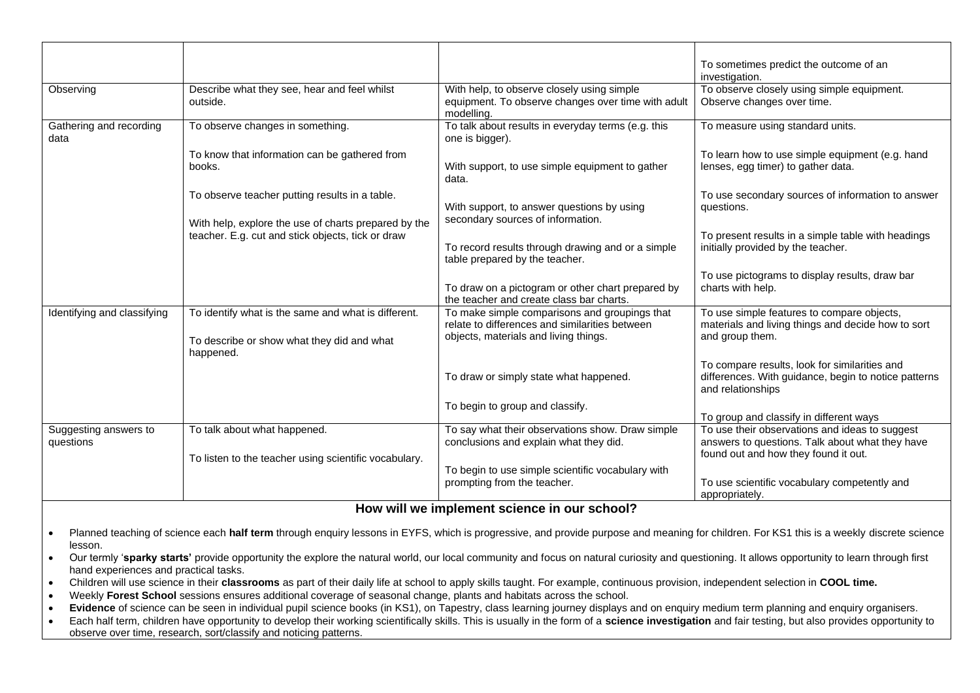|                                    |                                                                                                                |                                                                                                                                          | To sometimes predict the outcome of an<br>investigation.                                                                                  |
|------------------------------------|----------------------------------------------------------------------------------------------------------------|------------------------------------------------------------------------------------------------------------------------------------------|-------------------------------------------------------------------------------------------------------------------------------------------|
| Observing                          | Describe what they see, hear and feel whilst<br>outside.                                                       | With help, to observe closely using simple<br>equipment. To observe changes over time with adult<br>modelling.                           | To observe closely using simple equipment.<br>Observe changes over time.                                                                  |
| Gathering and recording<br>data    | To observe changes in something.                                                                               | To talk about results in everyday terms (e.g. this<br>one is bigger).                                                                    | To measure using standard units.                                                                                                          |
|                                    | To know that information can be gathered from<br>books.                                                        | With support, to use simple equipment to gather<br>data.                                                                                 | To learn how to use simple equipment (e.g. hand<br>lenses, egg timer) to gather data.                                                     |
|                                    | To observe teacher putting results in a table.<br>With help, explore the use of charts prepared by the         | With support, to answer questions by using<br>secondary sources of information.                                                          | To use secondary sources of information to answer<br>questions.                                                                           |
|                                    | teacher. E.g. cut and stick objects, tick or draw                                                              | To record results through drawing and or a simple<br>table prepared by the teacher.                                                      | To present results in a simple table with headings<br>initially provided by the teacher.                                                  |
|                                    |                                                                                                                | To draw on a pictogram or other chart prepared by<br>the teacher and create class bar charts.                                            | To use pictograms to display results, draw bar<br>charts with help.                                                                       |
| Identifying and classifying        | To identify what is the same and what is different.<br>To describe or show what they did and what<br>happened. | To make simple comparisons and groupings that<br>relate to differences and similarities between<br>objects, materials and living things. | To use simple features to compare objects,<br>materials and living things and decide how to sort<br>and group them.                       |
|                                    |                                                                                                                | To draw or simply state what happened.                                                                                                   | To compare results, look for similarities and<br>differences. With guidance, begin to notice patterns<br>and relationships                |
|                                    |                                                                                                                | To begin to group and classify.                                                                                                          | To group and classify in different ways                                                                                                   |
| Suggesting answers to<br>questions | To talk about what happened.<br>To listen to the teacher using scientific vocabulary.                          | To say what their observations show. Draw simple<br>conclusions and explain what they did.                                               | To use their observations and ideas to suggest<br>answers to questions. Talk about what they have<br>found out and how they found it out. |
|                                    |                                                                                                                | To begin to use simple scientific vocabulary with<br>prompting from the teacher.                                                         | To use scientific vocabulary competently and<br>appropriately.                                                                            |

## **How will we implement science in our school?**

- Planned teaching of science each **half term** through enquiry lessons in EYFS, which is progressive, and provide purpose and meaning for children. For KS1 this is a weekly discrete science lesson.
- Our termly '**sparky starts'** provide opportunity the explore the natural world, our local community and focus on natural curiosity and questioning. It allows opportunity to learn through first hand experiences and practical tasks.
- Children will use science in their **classrooms** as part of their daily life at school to apply skills taught. For example, continuous provision, independent selection in **COOL time.**
- Weekly **Forest School** sessions ensures additional coverage of seasonal change, plants and habitats across the school.
- Evidence of science can be seen in individual pupil science books (in KS1), on Tapestry, class learning journey displays and on enquiry medium term planning and enquiry organisers.
- Each half term, children have opportunity to develop their working scientifically skills. This is usually in the form of a **science investigation** and fair testing, but also provides opportunity to observe over time, research, sort/classify and noticing patterns.